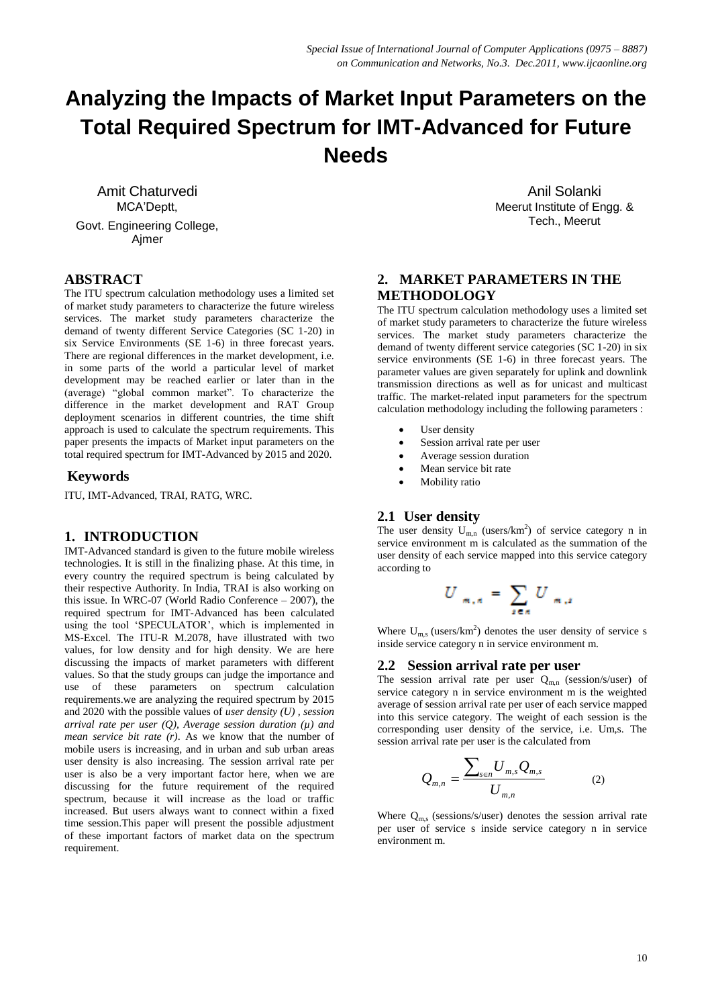# **Analyzing the Impacts of Market Input Parameters on the Total Required Spectrum for IMT-Advanced for Future Needs**

Amit Chaturvedi MCA'Deptt, Govt. Engineering College, Ajmer

# **ABSTRACT**

The ITU spectrum calculation methodology uses a limited set of market study parameters to characterize the future wireless services. The market study parameters characterize the demand of twenty different Service Categories (SC 1-20) in six Service Environments (SE 1-6) in three forecast years. There are regional differences in the market development, i.e. in some parts of the world a particular level of market development may be reached earlier or later than in the (average) "global common market". To characterize the difference in the market development and RAT Group deployment scenarios in different countries, the time shift approach is used to calculate the spectrum requirements. This paper presents the impacts of Market input parameters on the total required spectrum for IMT-Advanced by 2015 and 2020.

#### **Keywords**

ITU, IMT-Advanced, TRAI, RATG, WRC.

#### **1. INTRODUCTION**

IMT-Advanced standard is given to the future mobile wireless technologies. It is still in the finalizing phase. At this time, in every country the required spectrum is being calculated by their respective Authority. In India, TRAI is also working on this issue. In WRC-07 (World Radio Conference – 2007), the required spectrum for IMT-Advanced has been calculated using the tool 'SPECULATOR', which is implemented in MS-Excel. The ITU-R M.2078, have illustrated with two values, for low density and for high density. We are here discussing the impacts of market parameters with different values. So that the study groups can judge the importance and use of these parameters on spectrum calculation requirements.we are analyzing the required spectrum by 2015 and 2020 with the possible values of *user density (U) , session arrival rate per user (Q), Average session duration (µ) and mean service bit rate (r)*. As we know that the number of mobile users is increasing, and in urban and sub urban areas user density is also increasing. The session arrival rate per user is also be a very important factor here, when we are discussing for the future requirement of the required spectrum, because it will increase as the load or traffic increased. But users always want to connect within a fixed time session.This paper will present the possible adjustment of these important factors of market data on the spectrum requirement.

Anil Solanki Meerut Institute of Engg. & Tech., Meerut

# **2. MARKET PARAMETERS IN THE METHODOLOGY**

The ITU spectrum calculation methodology uses a limited set of market study parameters to characterize the future wireless services. The market study parameters characterize the demand of twenty different service categories (SC 1-20) in six service environments (SE 1-6) in three forecast years. The parameter values are given separately for uplink and downlink transmission directions as well as for unicast and multicast traffic. The market-related input parameters for the spectrum calculation methodology including the following parameters :

- User density
- Session arrival rate per user
- Average session duration
- Mean service bit rate
- Mobility ratio

## **2.1 User density**

The user density  $U_{m,n}$  (users/km<sup>2</sup>) of service category n in service environment m is calculated as the summation of the user density of each service mapped into this service category according to

$$
U_{m,n} = \sum_{z \in n} U_{m,z}
$$

Where  $U_{m,s}$  (users/km<sup>2</sup>) denotes the user density of service s inside service category n in service environment m.

#### **2.2 Session arrival rate per user**

The session arrival rate per user  $Q_{m,n}$  (session/s/user) of service category n in service environment m is the weighted average of session arrival rate per user of each service mapped into this service category. The weight of each session is the corresponding user density of the service, i.e. Um,s. The session arrival rate per user is the calculated from

$$
Q_{m,n} = \frac{\sum_{s \in n} U_{m,s} Q_{m,s}}{U_{m,n}}
$$
 (2)

Where  $Q_{m,s}$  (sessions/s/user) denotes the session arrival rate per user of service s inside service category n in service environment m.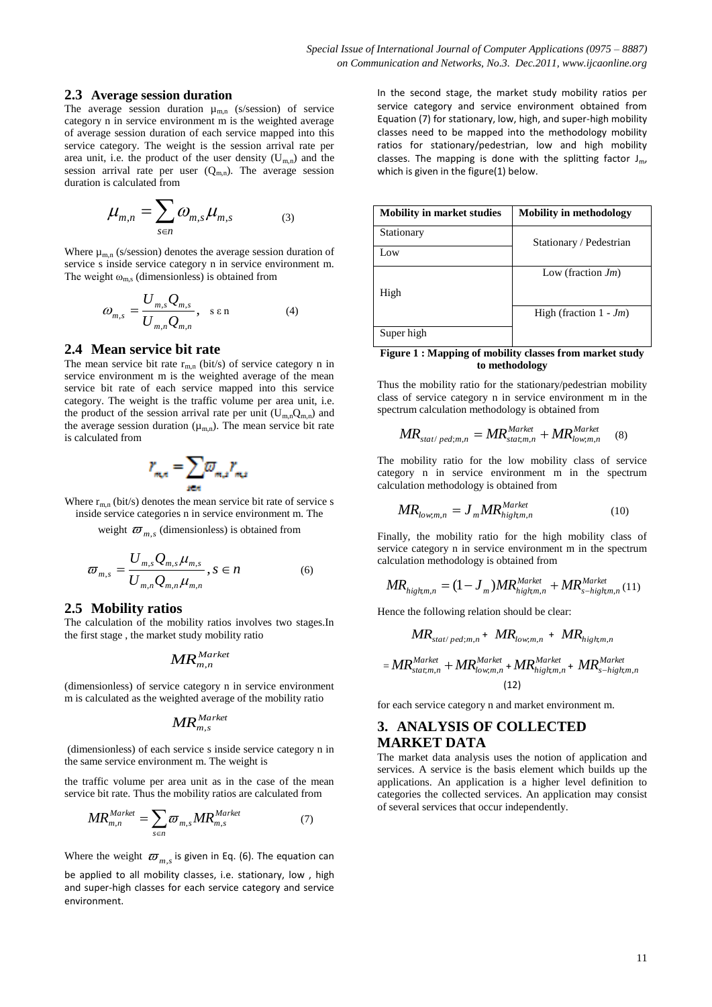#### **2.3 Average session duration**

The average session duration  $\mu_{m,n}$  (s/session) of service category n in service environment m is the weighted average of average session duration of each service mapped into this service category. The weight is the session arrival rate per area unit, i.e. the product of the user density  $(U_{m,n})$  and the session arrival rate per user  $(Q_{m,n})$ . The average session duration is calculated from

$$
\mu_{m,n} = \sum_{s \in n} \omega_{m,s} \mu_{m,s} \tag{3}
$$

Where  $\mu_{m,n}$  (s/session) denotes the average session duration of service s inside service category n in service environment m. The weight  $\omega_{\text{m.s}}$  (dimensionless) is obtained from

$$
\omega_{m,s} = \frac{U_{m,s} Q_{m,s}}{U_{m,n} Q_{m,n}}, \quad \text{s.e.} \tag{4}
$$

#### **2.4 Mean service bit rate**

The mean service bit rate  $r_{m,n}$  (bit/s) of service category n in service environment m is the weighted average of the mean service bit rate of each service mapped into this service category. The weight is the traffic volume per area unit, i.e. the product of the session arrival rate per unit  $(U_{m,n}Q_{m,n})$  and the average session duration  $(\mu_{m,n})$ . The mean service bit rate is calculated from

$$
r_{m,n} = \sum_{n \in n} \overline{\omega}_{m,n} r_{m,n}
$$

Where  $r_{m,n}$  (bit/s) denotes the mean service bit rate of service s inside service categories n in service environment m. The

weight  $\varpi_{m,s}$  (dimensionless) is obtained from

$$
\varpi_{m,s} = \frac{U_{m,s} Q_{m,s} \mu_{m,s}}{U_{m,n} Q_{m,n} \mu_{m,n}}, s \in n
$$
 (6)

#### **2.5 Mobility ratios**

The calculation of the mobility ratios involves two stages.In the first stage , the market study mobility ratio

$$
{\it MR}_{m,n}^{\it Market}
$$

(dimensionless) of service category n in service environment m is calculated as the weighted average of the mobility ratio

$$
\textit{MR}_{m, s}^{\textit{Market}}
$$

(dimensionless) of each service s inside service category n in the same service environment m. The weight is

the traffic volume per area unit as in the case of the mean service bit rate. Thus the mobility ratios are calculated from

$$
MR_{m,n}^{Market} = \sum_{s \in n} \varpi_{m,s} MR_{m,s}^{Market} \tag{7}
$$

Where the weight  $\varpi_{m,s}$  is given in Eq. (6). The equation can be applied to all mobility classes, i.e. stationary, low , high and super-high classes for each service category and service environment.

In the second stage, the market study mobility ratios per service category and service environment obtained from Equation (7) for stationary, low, high, and super-high mobility classes need to be mapped into the methodology mobility ratios for stationary/pedestrian, low and high mobility classes. The mapping is done with the splitting factor  $J_{\text{m}}$ , which is given in the figure(1) below.

| <b>Mobility in market studies</b> | <b>Mobility in methodology</b> |
|-----------------------------------|--------------------------------|
| Stationary                        | Stationary / Pedestrian        |
| Low                               |                                |
|                                   | Low (fraction $Jm$ )           |
| High                              |                                |
|                                   | High (fraction $1 - Jm$ )      |
| Super high                        |                                |
| $\sim$<br>$\sim$ $\sim$<br>.      |                                |

**Figure 1 : Mapping of mobility classes from market study to methodology**

Thus the mobility ratio for the stationary/pedestrian mobility class of service category n in service environment m in the spectrum calculation methodology is obtained from

$$
MR_{stat/ped;m,n} = MR_{stat;m,n}^{Market} + MR_{low;m,n}^{Market} \quad (8)
$$

The mobility ratio for the low mobility class of service category n in service environment m in the spectrum calculation methodology is obtained from

$$
MR_{low,m,n} = J_m MR_{high,m,n}^{Market}
$$
 (10)

Finally, the mobility ratio for the high mobility class of service category n in service environment m in the spectrum calculation methodology is obtained from

$$
MR_{high,m,n} = (1 - J_m)MR_{high,m,n}^{Market} + MR_{s-higkm,n}^{Market} (11)
$$

Hence the following relation should be clear:

$$
MR_{stat/ped;m,n} + MR_{low;m,n} + MR_{high;m,n}
$$
  
= 
$$
MR_{stat,m,n}^{Market} + MR_{low;m,n}^{Market} + MR_{high;m,n}^{Market} + MR_{s-higk,m,n}^{Market}
$$
  
(12)

for each service category n and market environment m.

# **3. ANALYSIS OF COLLECTED MARKET DATA**

The market data analysis uses the notion of application and services. A service is the basis element which builds up the applications. An application is a higher level definition to categories the collected services. An application may consist of several services that occur independently.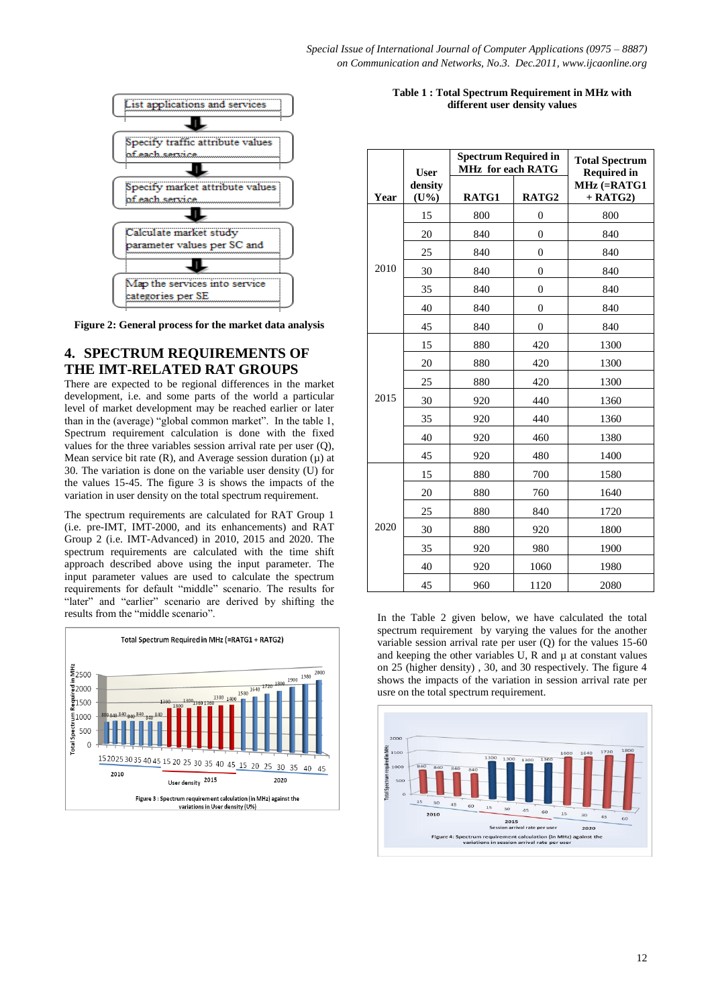

**Figure 2: General process for the market data analysis**

# **4. SPECTRUM REQUIREMENTS OF THE IMT-RELATED RAT GROUPS**

There are expected to be regional differences in the market development, i.e. and some parts of the world a particular level of market development may be reached earlier or later than in the (average) "global common market". In the table 1, Spectrum requirement calculation is done with the fixed values for the three variables session arrival rate per user (Q), Mean service bit rate  $(R)$ , and Average session duration  $(\mu)$  at 30. The variation is done on the variable user density (U) for the values 15-45. The figure 3 is shows the impacts of the variation in user density on the total spectrum requirement.

The spectrum requirements are calculated for RAT Group 1 (i.e. pre-IMT, IMT-2000, and its enhancements) and RAT Group 2 (i.e. IMT-Advanced) in 2010, 2015 and 2020. The spectrum requirements are calculated with the time shift approach described above using the input parameter. The input parameter values are used to calculate the spectrum requirements for default "middle" scenario. The results for "later" and "earlier" scenario are derived by shifting the results from the "middle scenario".



#### **Table 1 : Total Spectrum Requirement in MHz with different user density values**

|      | <b>User</b>      | <b>Spectrum Required in</b><br><b>MHz</b> for each RATG |                | <b>Total Spectrum</b><br><b>Required in</b> |
|------|------------------|---------------------------------------------------------|----------------|---------------------------------------------|
| Year | density<br>(U% ) | RATG1                                                   | RATG2          | MHz (=RATG1<br>$+$ RATG2)                   |
|      | 15               | 800                                                     | $\overline{0}$ | 800                                         |
|      | 20               | 840                                                     | $\overline{0}$ | 840                                         |
|      | 25               | 840                                                     | $\mathbf{0}$   | 840                                         |
| 2010 | 30               | 840                                                     | $\overline{0}$ | 840                                         |
|      | 35               | 840                                                     | $\overline{0}$ | 840                                         |
|      | 40               | 840                                                     | $\overline{0}$ | 840                                         |
|      | 45               | 840                                                     | $\overline{0}$ | 840                                         |
|      | 15               | 880                                                     | 420            | 1300                                        |
|      | 20               | 880                                                     | 420            | 1300                                        |
|      | 25               | 880                                                     | 420            | 1300                                        |
| 2015 | 30               | 920                                                     | 440            | 1360                                        |
|      | 35               | 920                                                     | 440            | 1360                                        |
|      | 40               | 920                                                     | 460            | 1380                                        |
|      | 45               | 920                                                     | 480            | 1400                                        |
| 2020 | 15               | 880                                                     | 700            | 1580                                        |
|      | 20               | 880                                                     | 760            | 1640                                        |
|      | 25               | 880                                                     | 840            | 1720                                        |
|      | 30               | 880                                                     | 920            | 1800                                        |
|      | 35               | 920                                                     | 980            | 1900                                        |
|      | 40               | 920                                                     | 1060           | 1980                                        |
|      | 45               | 960                                                     | 1120           | 2080                                        |

In the Table 2 given below, we have calculated the total spectrum requirement by varying the values for the another variable session arrival rate per user (Q) for the values 15-60 and keeping the other variables  $U$ ,  $R$  and  $\mu$  at constant values on 25 (higher density) , 30, and 30 respectively. The figure 4 shows the impacts of the variation in session arrival rate per usre on the total spectrum requirement.

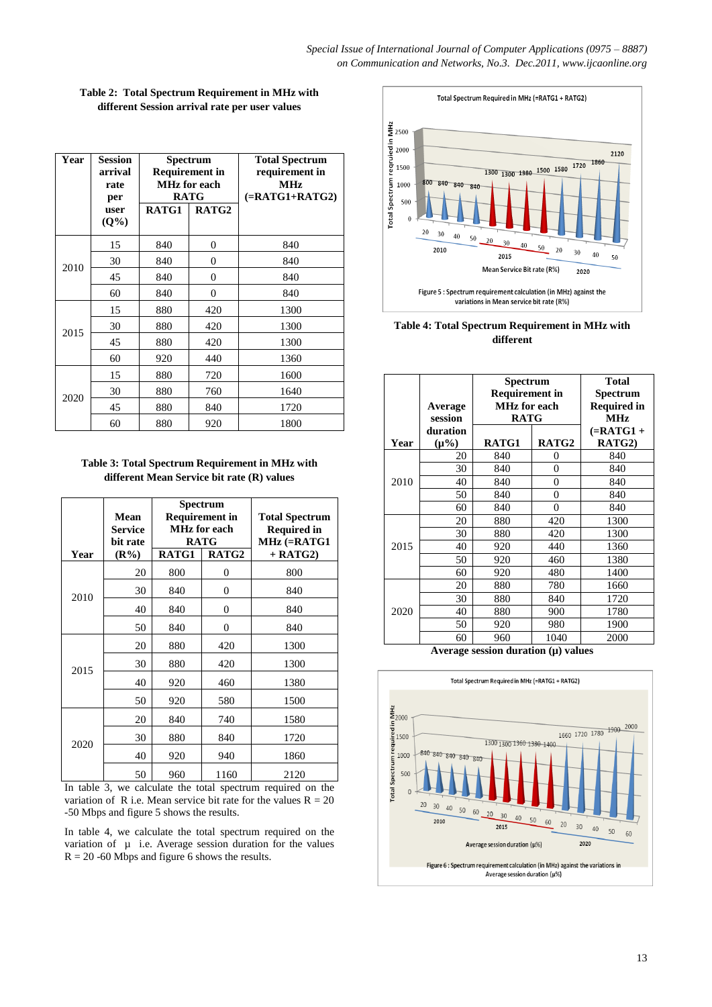*Special Issue of International Journal of Computer Applications (0975 – 8887) on Communication and Networks, No.3. Dec.2011, www.ijcaonline.org*

| Year | <b>Session</b><br>arrival<br>rate<br>per | Spectrum<br><b>Requirement in</b><br><b>MHz</b> for each<br><b>RATG</b> |          | <b>Total Spectrum</b><br>requirement in<br><b>MHz</b><br>$(=RATG1+RATG2)$ |
|------|------------------------------------------|-------------------------------------------------------------------------|----------|---------------------------------------------------------------------------|
|      | user<br>(Q <sup>0</sup> )                | RATG1                                                                   | RATG2    |                                                                           |
|      | 15                                       | 840                                                                     | 0        | 840                                                                       |
| 2010 | 30                                       | 840                                                                     | 0        | 840                                                                       |
|      | 45                                       | 840                                                                     | $\theta$ | 840                                                                       |
|      | 60                                       | 840                                                                     | 0        | 840                                                                       |
|      | 15                                       | 880                                                                     | 420      | 1300                                                                      |
| 2015 | 30                                       | 880                                                                     | 420      | 1300                                                                      |
|      | 45                                       | 880                                                                     | 420      | 1300                                                                      |
|      | 60                                       | 920                                                                     | 440      | 1360                                                                      |
| 2020 | 15                                       | 880                                                                     | 720      | 1600                                                                      |
|      | 30                                       | 880                                                                     | 760      | 1640                                                                      |
|      | 45                                       | 880                                                                     | 840      | 1720                                                                      |
|      | 60                                       | 880                                                                     | 920      | 1800                                                                      |

**Table 2: Total Spectrum Requirement in MHz with different Session arrival rate per user values**

**Table 3: Total Spectrum Requirement in MHz with different Mean Service bit rate (R) values**

| Year | Mean<br><b>Service</b><br>bit rate<br>$(R\%)$ | Spectrum<br><b>Requirement in</b><br><b>MHz</b> for each<br><b>RATG</b><br>RATG2<br>RATG1 |                | <b>Total Spectrum</b><br><b>Required in</b><br>$MHz$ (=RATG1<br>$+$ RATG2) |
|------|-----------------------------------------------|-------------------------------------------------------------------------------------------|----------------|----------------------------------------------------------------------------|
|      | 20                                            | 800                                                                                       | 0              | 800                                                                        |
| 2010 | 30                                            | 840                                                                                       | $\overline{0}$ | 840                                                                        |
|      | 40                                            | 840                                                                                       | 0              | 840                                                                        |
|      | 50                                            | 840                                                                                       | $\overline{0}$ | 840                                                                        |
| 2015 | 20                                            | 880                                                                                       | 420            | 1300                                                                       |
|      | 30                                            | 880                                                                                       | 420            | 1300                                                                       |
|      | 40                                            | 920                                                                                       | 460            | 1380                                                                       |
|      | 50                                            | 920                                                                                       | 580            | 1500                                                                       |
| 2020 | 20                                            | 840                                                                                       | 740            | 1580                                                                       |
|      | 30                                            | 880                                                                                       | 840            | 1720                                                                       |
|      | 40                                            | 920                                                                                       | 940            | 1860                                                                       |
|      | 50                                            | 960                                                                                       | 1160           | 2120                                                                       |

In table 3, we calculate the total spectrum required on the variation of R i.e. Mean service bit rate for the values  $R = 20$ -50 Mbps and figure 5 shows the results.

In table 4, we calculate the total spectrum required on the variation of  $\mu$  i.e. Average session duration for the values  $R = 20 - 60$  Mbps and figure 6 shows the results.



**Table 4: Total Spectrum Requirement in MHz with different** 

|      | Average<br>session     | Spectrum<br><b>Requirement in</b><br><b>MHz</b> for each<br><b>RATG</b> |                | <b>Total</b><br>Spectrum<br><b>Required in</b><br><b>MHz</b> |
|------|------------------------|-------------------------------------------------------------------------|----------------|--------------------------------------------------------------|
| Year | duration<br>$(\mu\% )$ | RATG1                                                                   | RATG2          | $=\text{RATG1} +$<br>RATG2)                                  |
|      | 20                     | 840                                                                     | 0              | 840                                                          |
|      | 30                     | 840                                                                     | $\theta$       | 840                                                          |
| 2010 | 40                     | 840                                                                     | $\overline{0}$ | 840                                                          |
|      | 50                     | 840                                                                     | $\theta$       | 840                                                          |
|      | 60                     | 840                                                                     | 0              | 840                                                          |
|      | 20                     | 880                                                                     | 420            | 1300                                                         |
|      | 30                     | 880                                                                     | 420            | 1300                                                         |
| 2015 | 40                     | 920                                                                     | 440            | 1360                                                         |
|      | 50                     | 920                                                                     | 460            | 1380                                                         |
|      | 60                     | 920                                                                     | 480            | 1400                                                         |
|      | 20                     | 880                                                                     | 780            | 1660                                                         |
|      | 30                     | 880                                                                     | 840            | 1720                                                         |
| 2020 | 40                     | 880                                                                     | 900            | 1780                                                         |
|      | 50                     | 920                                                                     | 980            | 1900                                                         |
|      | 60                     | 960                                                                     | 1040           | 2000                                                         |

**Average session duration (µ) values**